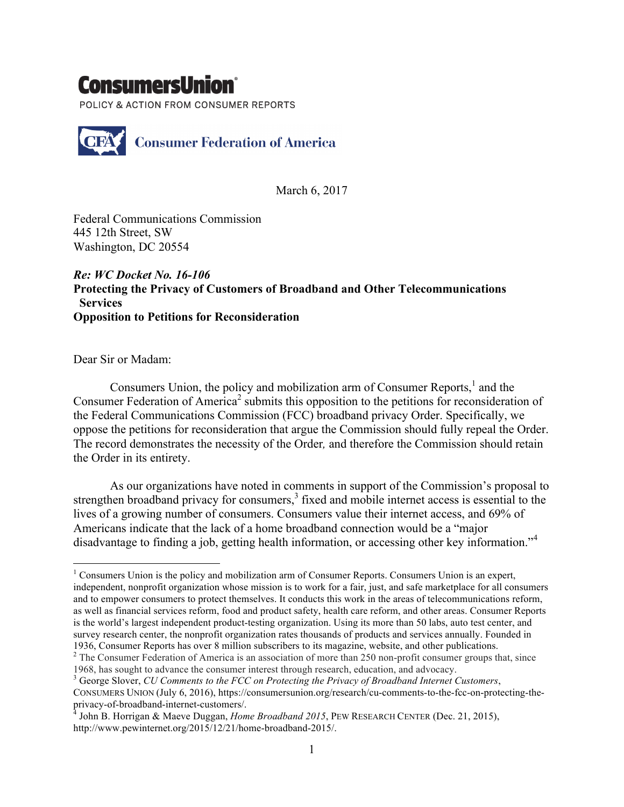## ConsumersUnion

POLICY & ACTION FROM CONSUMER REPORTS



March 6, 2017

Federal Communications Commission 445 12th Street, SW Washington, DC 20554

## *Re: WC Docket No. 16-106* **Protecting the Privacy of Customers of Broadband and Other Telecommunications Services Opposition to Petitions for Reconsideration**

Dear Sir or Madam:

Consumers Union, the policy and mobilization arm of Consumer Reports.<sup>1</sup> and the Consumer Federation of America<sup>2</sup> submits this opposition to the petitions for reconsideration of the Federal Communications Commission (FCC) broadband privacy Order. Specifically, we oppose the petitions for reconsideration that argue the Commission should fully repeal the Order. The record demonstrates the necessity of the Order*,* and therefore the Commission should retain the Order in its entirety.

As our organizations have noted in comments in support of the Commission's proposal to strengthen broadband privacy for consumers,<sup>3</sup> fixed and mobile internet access is essential to the lives of a growing number of consumers. Consumers value their internet access, and 69% of Americans indicate that the lack of a home broadband connection would be a "major disadvantage to finding a job, getting health information, or accessing other key information."<sup>4</sup>

<sup>&</sup>lt;sup>1</sup> Consumers Union is the policy and mobilization arm of Consumer Reports. Consumers Union is an expert, independent, nonprofit organization whose mission is to work for a fair, just, and safe marketplace for all consumers and to empower consumers to protect themselves. It conducts this work in the areas of telecommunications reform, as well as financial services reform, food and product safety, health care reform, and other areas. Consumer Reports is the world's largest independent product-testing organization. Using its more than 50 labs, auto test center, and survey research center, the nonprofit organization rates thousands of products and services annually. Founded in 1936, Consumer Reports has over 8 million subscribers to its magazine, website, and other publications. <sup>2</sup> The Consumer Federation of America is an association of more than 250 non-profit consumer groups that, since

<sup>1968,</sup> has sought to advance the consumer interest through research, education, and advocacy.

<sup>3</sup> George Slover, *CU Comments to the FCC on Protecting the Privacy of Broadband Internet Customers*, CONSUMERS UNION (July 6, 2016), https://consumersunion.org/research/cu-comments-to-the-fcc-on-protecting-theprivacy-of-broadband-internet-customers/. <sup>4</sup> John B. Horrigan & Maeve Duggan, *Home Broadband 2015*, PEW RESEARCH CENTER (Dec. 21, 2015),

http://www.pewinternet.org/2015/12/21/home-broadband-2015/.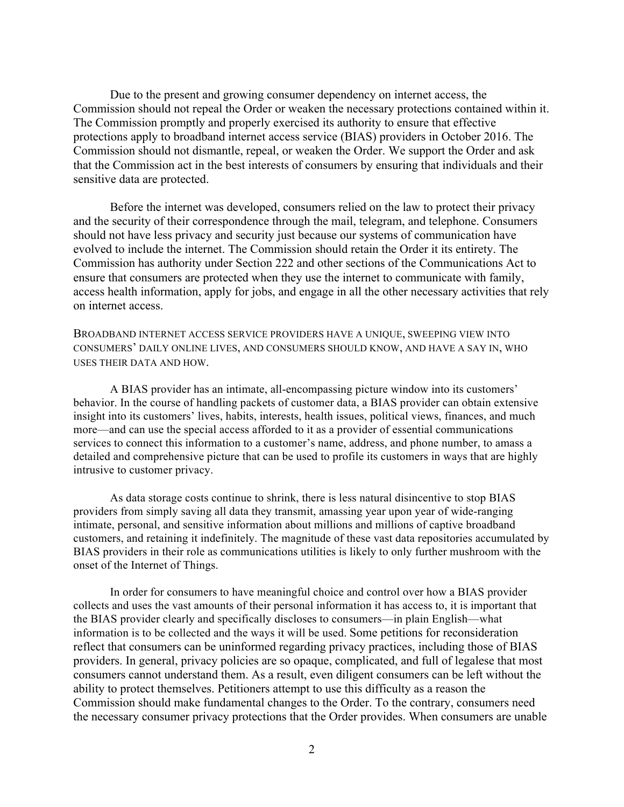Due to the present and growing consumer dependency on internet access, the Commission should not repeal the Order or weaken the necessary protections contained within it. The Commission promptly and properly exercised its authority to ensure that effective protections apply to broadband internet access service (BIAS) providers in October 2016. The Commission should not dismantle, repeal, or weaken the Order. We support the Order and ask that the Commission act in the best interests of consumers by ensuring that individuals and their sensitive data are protected.

Before the internet was developed, consumers relied on the law to protect their privacy and the security of their correspondence through the mail, telegram, and telephone. Consumers should not have less privacy and security just because our systems of communication have evolved to include the internet. The Commission should retain the Order it its entirety. The Commission has authority under Section 222 and other sections of the Communications Act to ensure that consumers are protected when they use the internet to communicate with family, access health information, apply for jobs, and engage in all the other necessary activities that rely on internet access.

BROADBAND INTERNET ACCESS SERVICE PROVIDERS HAVE A UNIQUE, SWEEPING VIEW INTO CONSUMERS' DAILY ONLINE LIVES, AND CONSUMERS SHOULD KNOW, AND HAVE A SAY IN, WHO USES THEIR DATA AND HOW.

A BIAS provider has an intimate, all-encompassing picture window into its customers' behavior. In the course of handling packets of customer data, a BIAS provider can obtain extensive insight into its customers' lives, habits, interests, health issues, political views, finances, and much more—and can use the special access afforded to it as a provider of essential communications services to connect this information to a customer's name, address, and phone number, to amass a detailed and comprehensive picture that can be used to profile its customers in ways that are highly intrusive to customer privacy.

As data storage costs continue to shrink, there is less natural disincentive to stop BIAS providers from simply saving all data they transmit, amassing year upon year of wide-ranging intimate, personal, and sensitive information about millions and millions of captive broadband customers, and retaining it indefinitely. The magnitude of these vast data repositories accumulated by BIAS providers in their role as communications utilities is likely to only further mushroom with the onset of the Internet of Things.

In order for consumers to have meaningful choice and control over how a BIAS provider collects and uses the vast amounts of their personal information it has access to, it is important that the BIAS provider clearly and specifically discloses to consumers—in plain English—what information is to be collected and the ways it will be used. Some petitions for reconsideration reflect that consumers can be uninformed regarding privacy practices, including those of BIAS providers. In general, privacy policies are so opaque, complicated, and full of legalese that most consumers cannot understand them. As a result, even diligent consumers can be left without the ability to protect themselves. Petitioners attempt to use this difficulty as a reason the Commission should make fundamental changes to the Order. To the contrary, consumers need the necessary consumer privacy protections that the Order provides. When consumers are unable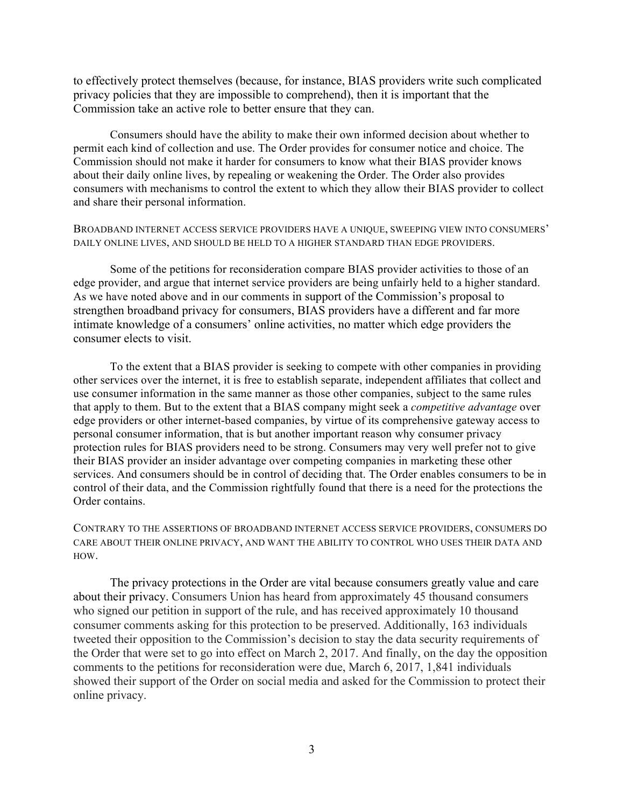to effectively protect themselves (because, for instance, BIAS providers write such complicated privacy policies that they are impossible to comprehend), then it is important that the Commission take an active role to better ensure that they can.

Consumers should have the ability to make their own informed decision about whether to permit each kind of collection and use. The Order provides for consumer notice and choice. The Commission should not make it harder for consumers to know what their BIAS provider knows about their daily online lives, by repealing or weakening the Order. The Order also provides consumers with mechanisms to control the extent to which they allow their BIAS provider to collect and share their personal information.

BROADBAND INTERNET ACCESS SERVICE PROVIDERS HAVE A UNIQUE, SWEEPING VIEW INTO CONSUMERS' DAILY ONLINE LIVES, AND SHOULD BE HELD TO A HIGHER STANDARD THAN EDGE PROVIDERS.

Some of the petitions for reconsideration compare BIAS provider activities to those of an edge provider, and argue that internet service providers are being unfairly held to a higher standard. As we have noted above and in our comments in support of the Commission's proposal to strengthen broadband privacy for consumers, BIAS providers have a different and far more intimate knowledge of a consumers' online activities, no matter which edge providers the consumer elects to visit.

To the extent that a BIAS provider is seeking to compete with other companies in providing other services over the internet, it is free to establish separate, independent affiliates that collect and use consumer information in the same manner as those other companies, subject to the same rules that apply to them. But to the extent that a BIAS company might seek a *competitive advantage* over edge providers or other internet-based companies, by virtue of its comprehensive gateway access to personal consumer information, that is but another important reason why consumer privacy protection rules for BIAS providers need to be strong. Consumers may very well prefer not to give their BIAS provider an insider advantage over competing companies in marketing these other services. And consumers should be in control of deciding that. The Order enables consumers to be in control of their data, and the Commission rightfully found that there is a need for the protections the Order contains.

CONTRARY TO THE ASSERTIONS OF BROADBAND INTERNET ACCESS SERVICE PROVIDERS, CONSUMERS DO CARE ABOUT THEIR ONLINE PRIVACY, AND WANT THE ABILITY TO CONTROL WHO USES THEIR DATA AND HOW.

The privacy protections in the Order are vital because consumers greatly value and care about their privacy. Consumers Union has heard from approximately 45 thousand consumers who signed our petition in support of the rule, and has received approximately 10 thousand consumer comments asking for this protection to be preserved. Additionally, 163 individuals tweeted their opposition to the Commission's decision to stay the data security requirements of the Order that were set to go into effect on March 2, 2017. And finally, on the day the opposition comments to the petitions for reconsideration were due, March 6, 2017, 1,841 individuals showed their support of the Order on social media and asked for the Commission to protect their online privacy.